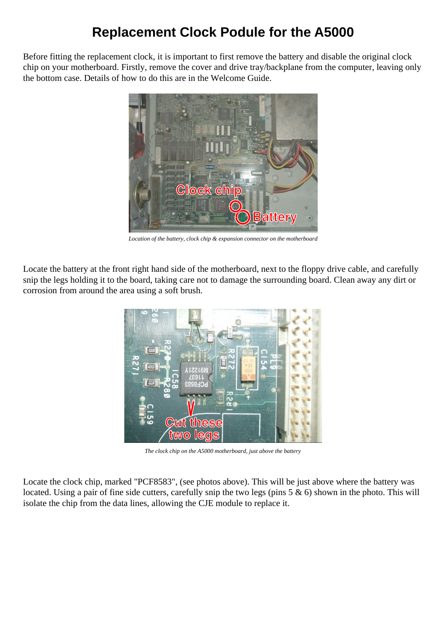## **Replacement Clock Podule for the A5000**

Before fitting the replacement clock, it is important to first remove the battery and disable the original clock chip on your motherboard. Firstly, remove the cover and drive tray/backplane from the computer, leaving only the bottom case. Details of how to do this are in the Welcome Guide.



*Location of the battery, clock chip & expansion connector on the motherboard*

Locate the battery at the front right hand side of the motherboard, next to the floppy drive cable, and carefully snip the legs holding it to the board, taking care not to damage the surrounding board. Clean away any dirt or corrosion from around the area using a soft brush.



*The clock chip on the A5000 motherboard, just above the battery*

Locate the clock chip, marked "PCF8583", (see photos above). This will be just above where the battery was located. Using a pair of fine side cutters, carefully snip the two legs (pins 5 & 6) shown in the photo. This will isolate the chip from the data lines, allowing the CJE module to replace it.